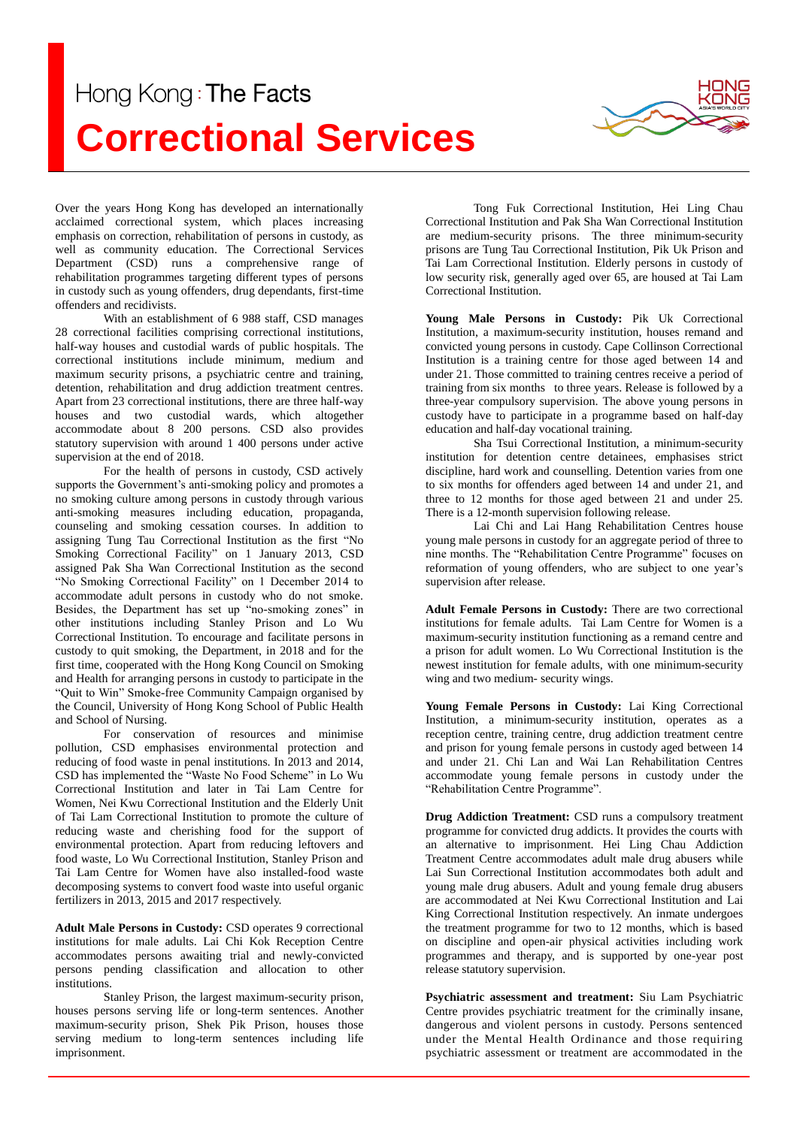## Hong Kong: The Facts **Correctional Services**



Over the years Hong Kong has developed an internationally acclaimed correctional system, which places increasing emphasis on correction, rehabilitation of persons in custody, as well as community education. The Correctional Services Department (CSD) runs a comprehensive range of rehabilitation programmes targeting different types of persons in custody such as young offenders, drug dependants, first-time offenders and recidivists.

With an establishment of 6 988 staff, CSD manages 28 correctional facilities comprising correctional institutions, half-way houses and custodial wards of public hospitals. The correctional institutions include minimum, medium and maximum security prisons, a psychiatric centre and training, detention, rehabilitation and drug addiction treatment centres. Apart from 23 correctional institutions, there are three half-way houses and two custodial wards, which altogether accommodate about 8 200 persons. CSD also provides statutory supervision with around 1 400 persons under active supervision at the end of 2018.

For the health of persons in custody, CSD actively supports the Government's anti-smoking policy and promotes a no smoking culture among persons in custody through various anti-smoking measures including education, propaganda, counseling and smoking cessation courses. In addition to assigning Tung Tau Correctional Institution as the first "No Smoking Correctional Facility" on 1 January 2013, CSD assigned Pak Sha Wan Correctional Institution as the second "No Smoking Correctional Facility" on 1 December 2014 to accommodate adult persons in custody who do not smoke. Besides, the Department has set up "no-smoking zones" in other institutions including Stanley Prison and Lo Wu Correctional Institution. To encourage and facilitate persons in custody to quit smoking, the Department, in 2018 and for the first time, cooperated with the Hong Kong Council on Smoking and Health for arranging persons in custody to participate in the "Quit to Win" Smoke-free Community Campaign organised by the Council, University of Hong Kong School of Public Health and School of Nursing.

For conservation of resources and minimise pollution, CSD emphasises environmental protection and reducing of food waste in penal institutions. In 2013 and 2014, CSD has implemented the "Waste No Food Scheme" in Lo Wu Correctional Institution and later in Tai Lam Centre for Women, Nei Kwu Correctional Institution and the Elderly Unit of Tai Lam Correctional Institution to promote the culture of reducing waste and cherishing food for the support of environmental protection. Apart from reducing leftovers and food waste, Lo Wu Correctional Institution, Stanley Prison and Tai Lam Centre for Women have also installed-food waste decomposing systems to convert food waste into useful organic fertilizers in 2013, 2015 and 2017 respectively.

**Adult Male Persons in Custody:** CSD operates 9 correctional institutions for male adults. Lai Chi Kok Reception Centre accommodates persons awaiting trial and newly-convicted persons pending classification and allocation to other institutions.

Stanley Prison, the largest maximum-security prison, houses persons serving life or long-term sentences. Another maximum-security prison, Shek Pik Prison, houses those serving medium to long-term sentences including life imprisonment.

Tong Fuk Correctional Institution, Hei Ling Chau Correctional Institution and Pak Sha Wan Correctional Institution are medium-security prisons. The three minimum-security prisons are Tung Tau Correctional Institution, Pik Uk Prison and Tai Lam Correctional Institution. Elderly persons in custody of low security risk, generally aged over 65, are housed at Tai Lam Correctional Institution.

**Young Male Persons in Custody:** Pik Uk Correctional Institution, a maximum-security institution, houses remand and convicted young persons in custody. Cape Collinson Correctional Institution is a training centre for those aged between 14 and under 21. Those committed to training centres receive a period of training from six months to three years. Release is followed by a three-year compulsory supervision. The above young persons in custody have to participate in a programme based on half-day education and half-day vocational training.

Sha Tsui Correctional Institution, a minimum-security institution for detention centre detainees, emphasises strict discipline, hard work and counselling. Detention varies from one to six months for offenders aged between 14 and under 21, and three to 12 months for those aged between 21 and under 25. There is a 12-month supervision following release.

Lai Chi and Lai Hang Rehabilitation Centres house young male persons in custody for an aggregate period of three to nine months. The "Rehabilitation Centre Programme" focuses on reformation of young offenders, who are subject to one year's supervision after release.

**Adult Female Persons in Custody:** There are two correctional institutions for female adults. Tai Lam Centre for Women is a maximum-security institution functioning as a remand centre and a prison for adult women. Lo Wu Correctional Institution is the newest institution for female adults, with one minimum-security wing and two medium- security wings.

**Young Female Persons in Custody:** Lai King Correctional Institution, a minimum-security institution, operates as a reception centre, training centre, drug addiction treatment centre and prison for young female persons in custody aged between 14 and under 21. Chi Lan and Wai Lan Rehabilitation Centres accommodate young female persons in custody under the "Rehabilitation Centre Programme".

**Drug Addiction Treatment:** CSD runs a compulsory treatment programme for convicted drug addicts. It provides the courts with an alternative to imprisonment. Hei Ling Chau Addiction Treatment Centre accommodates adult male drug abusers while Lai Sun Correctional Institution accommodates both adult and young male drug abusers. Adult and young female drug abusers are accommodated at Nei Kwu Correctional Institution and Lai King Correctional Institution respectively. An inmate undergoes the treatment programme for two to 12 months, which is based on discipline and open-air physical activities including work programmes and therapy, and is supported by one-year post release statutory supervision.

**Psychiatric assessment and treatment:** Siu Lam Psychiatric Centre provides psychiatric treatment for the criminally insane, dangerous and violent persons in custody. Persons sentenced under the Mental Health Ordinance and those requiring psychiatric assessment or treatment are accommodated in the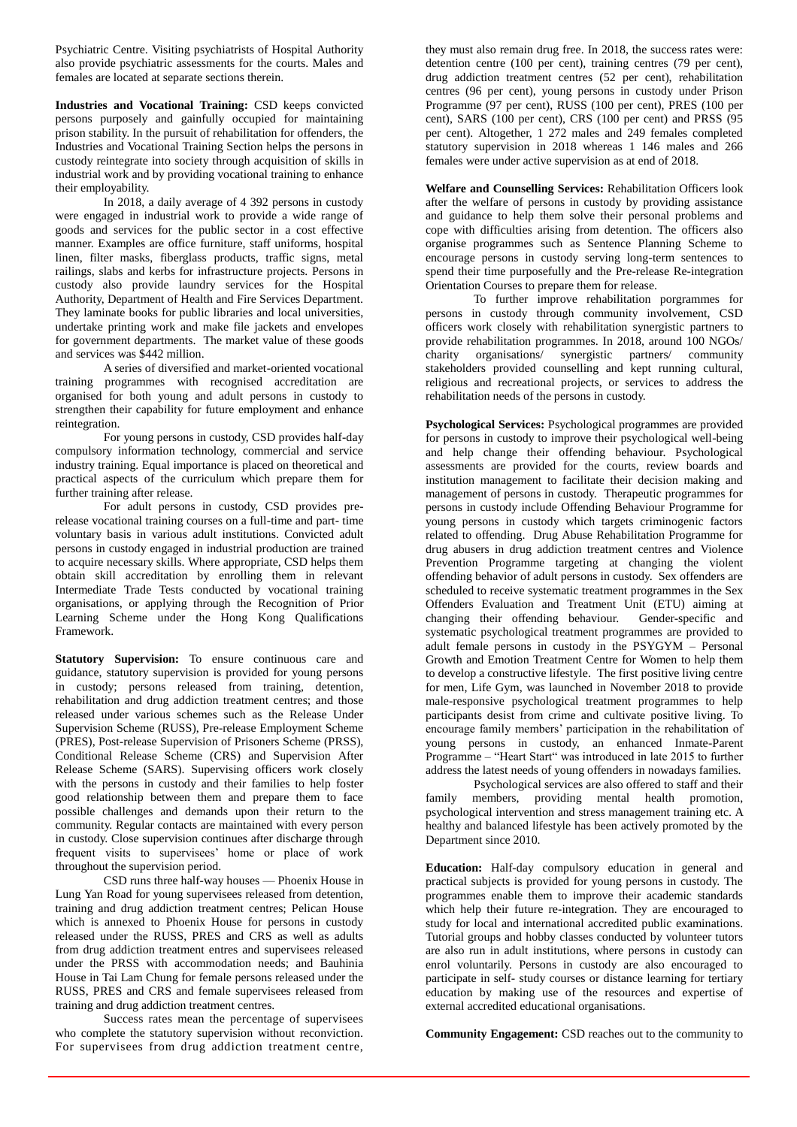Psychiatric Centre. Visiting psychiatrists of Hospital Authority also provide psychiatric assessments for the courts. Males and females are located at separate sections therein.

**Industries and Vocational Training:** CSD keeps convicted persons purposely and gainfully occupied for maintaining prison stability. In the pursuit of rehabilitation for offenders, the Industries and Vocational Training Section helps the persons in custody reintegrate into society through acquisition of skills in industrial work and by providing vocational training to enhance their employability.

In 2018, a daily average of 4 392 persons in custody were engaged in industrial work to provide a wide range of goods and services for the public sector in a cost effective manner. Examples are office furniture, staff uniforms, hospital linen, filter masks, fiberglass products, traffic signs, metal railings, slabs and kerbs for infrastructure projects. Persons in custody also provide laundry services for the Hospital Authority, Department of Health and Fire Services Department. They laminate books for public libraries and local universities, undertake printing work and make file jackets and envelopes for government departments. The market value of these goods and services was \$442 million.

A series of diversified and market-oriented vocational training programmes with recognised accreditation are organised for both young and adult persons in custody to strengthen their capability for future employment and enhance reintegration.

For young persons in custody, CSD provides half-day compulsory information technology, commercial and service industry training. Equal importance is placed on theoretical and practical aspects of the curriculum which prepare them for further training after release.

For adult persons in custody, CSD provides prerelease vocational training courses on a full-time and part- time voluntary basis in various adult institutions. Convicted adult persons in custody engaged in industrial production are trained to acquire necessary skills. Where appropriate, CSD helps them obtain skill accreditation by enrolling them in relevant Intermediate Trade Tests conducted by vocational training organisations, or applying through the Recognition of Prior Learning Scheme under the Hong Kong Qualifications Framework.

**Statutory Supervision:** To ensure continuous care and guidance, statutory supervision is provided for young persons in custody; persons released from training, detention, rehabilitation and drug addiction treatment centres; and those released under various schemes such as the Release Under Supervision Scheme (RUSS), Pre-release Employment Scheme (PRES), Post-release Supervision of Prisoners Scheme (PRSS), Conditional Release Scheme (CRS) and Supervision After Release Scheme (SARS). Supervising officers work closely with the persons in custody and their families to help foster good relationship between them and prepare them to face possible challenges and demands upon their return to the community. Regular contacts are maintained with every person in custody. Close supervision continues after discharge through frequent visits to supervisees' home or place of work throughout the supervision period.

CSD runs three half-way houses — Phoenix House in Lung Yan Road for young supervisees released from detention, training and drug addiction treatment centres; Pelican House which is annexed to Phoenix House for persons in custody released under the RUSS, PRES and CRS as well as adults from drug addiction treatment entres and supervisees released under the PRSS with accommodation needs; and Bauhinia House in Tai Lam Chung for female persons released under the RUSS, PRES and CRS and female supervisees released from training and drug addiction treatment centres.

Success rates mean the percentage of supervisees who complete the statutory supervision without reconviction. For supervisees from drug addiction treatment centre,

they must also remain drug free. In 2018, the success rates were: detention centre (100 per cent), training centres (79 per cent), drug addiction treatment centres (52 per cent), rehabilitation centres (96 per cent), young persons in custody under Prison Programme (97 per cent), RUSS (100 per cent), PRES (100 per cent), SARS (100 per cent), CRS (100 per cent) and PRSS (95 per cent). Altogether, 1 272 males and 249 females completed statutory supervision in 2018 whereas 1 146 males and 266 females were under active supervision as at end of 2018.

**Welfare and Counselling Services:** Rehabilitation Officers look after the welfare of persons in custody by providing assistance and guidance to help them solve their personal problems and cope with difficulties arising from detention. The officers also organise programmes such as Sentence Planning Scheme to encourage persons in custody serving long-term sentences to spend their time purposefully and the Pre-release Re-integration Orientation Courses to prepare them for release.

To further improve rehabilitation porgrammes for persons in custody through community involvement, CSD officers work closely with rehabilitation synergistic partners to provide rehabilitation programmes. In 2018, around 100 NGOs/ charity organisations/ synergistic partners/ community stakeholders provided counselling and kept running cultural, religious and recreational projects, or services to address the rehabilitation needs of the persons in custody.

**Psychological Services:** Psychological programmes are provided for persons in custody to improve their psychological well-being and help change their offending behaviour. Psychological assessments are provided for the courts, review boards and institution management to facilitate their decision making and management of persons in custody. Therapeutic programmes for persons in custody include Offending Behaviour Programme for young persons in custody which targets criminogenic factors related to offending. Drug Abuse Rehabilitation Programme for drug abusers in drug addiction treatment centres and Violence Prevention Programme targeting at changing the violent offending behavior of adult persons in custody. Sex offenders are scheduled to receive systematic treatment programmes in the Sex Offenders Evaluation and Treatment Unit (ETU) aiming at changing their offending behaviour. Gender-specific and systematic psychological treatment programmes are provided to adult female persons in custody in the PSYGYM – Personal Growth and Emotion Treatment Centre for Women to help them to develop a constructive lifestyle. The first positive living centre for men, Life Gym, was launched in November 2018 to provide male-responsive psychological treatment programmes to help participants desist from crime and cultivate positive living. To encourage family members' participation in the rehabilitation of young persons in custody, an enhanced Inmate-Parent Programme – "Heart Start" was introduced in late 2015 to further address the latest needs of young offenders in nowadays families.

Psychological services are also offered to staff and their family members, providing mental health promotion, psychological intervention and stress management training etc. A healthy and balanced lifestyle has been actively promoted by the Department since 2010.

**Education:** Half-day compulsory education in general and practical subjects is provided for young persons in custody. The programmes enable them to improve their academic standards which help their future re-integration. They are encouraged to study for local and international accredited public examinations. Tutorial groups and hobby classes conducted by volunteer tutors are also run in adult institutions, where persons in custody can enrol voluntarily. Persons in custody are also encouraged to participate in self- study courses or distance learning for tertiary education by making use of the resources and expertise of external accredited educational organisations.

**Community Engagement:** CSD reaches out to the community to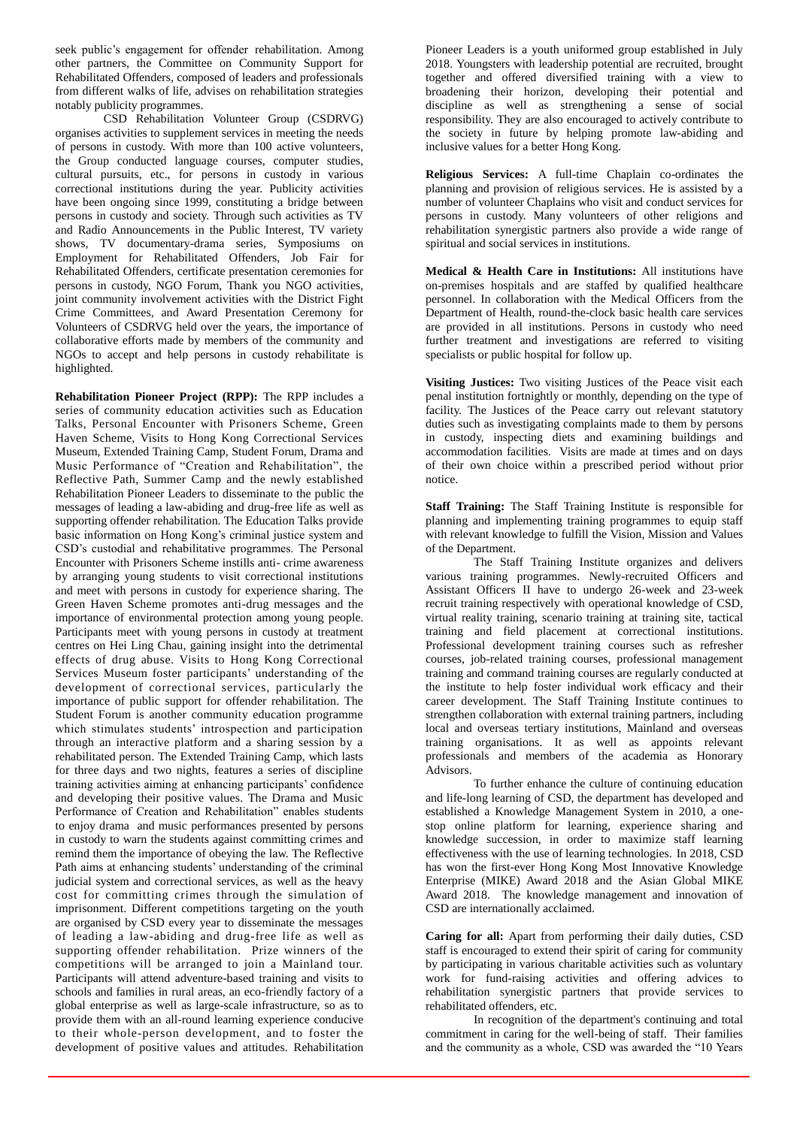seek public's engagement for offender rehabilitation. Among other partners, the Committee on Community Support for Rehabilitated Offenders, composed of leaders and professionals from different walks of life, advises on rehabilitation strategies notably publicity programmes.

CSD Rehabilitation Volunteer Group (CSDRVG) organises activities to supplement services in meeting the needs of persons in custody. With more than 100 active volunteers, the Group conducted language courses, computer studies, cultural pursuits, etc., for persons in custody in various correctional institutions during the year. Publicity activities have been ongoing since 1999, constituting a bridge between persons in custody and society. Through such activities as TV and Radio Announcements in the Public Interest, TV variety shows, TV documentary-drama series, Symposiums on Employment for Rehabilitated Offenders, Job Fair for Rehabilitated Offenders, certificate presentation ceremonies for persons in custody, NGO Forum, Thank you NGO activities, joint community involvement activities with the District Fight Crime Committees, and Award Presentation Ceremony for Volunteers of CSDRVG held over the years, the importance of collaborative efforts made by members of the community and NGOs to accept and help persons in custody rehabilitate is highlighted.

**Rehabilitation Pioneer Project (RPP):** The RPP includes a series of community education activities such as Education Talks, Personal Encounter with Prisoners Scheme, Green Haven Scheme, Visits to Hong Kong Correctional Services Museum, Extended Training Camp, Student Forum, Drama and Music Performance of "Creation and Rehabilitation", the Reflective Path, Summer Camp and the newly established Rehabilitation Pioneer Leaders to disseminate to the public the messages of leading a law-abiding and drug-free life as well as supporting offender rehabilitation. The Education Talks provide basic information on Hong Kong's criminal justice system and CSD's custodial and rehabilitative programmes. The Personal Encounter with Prisoners Scheme instills anti- crime awareness by arranging young students to visit correctional institutions and meet with persons in custody for experience sharing. The Green Haven Scheme promotes anti-drug messages and the importance of environmental protection among young people. Participants meet with young persons in custody at treatment centres on Hei Ling Chau, gaining insight into the detrimental effects of drug abuse. Visits to Hong Kong Correctional Services Museum foster participants' understanding of the development of correctional services, particularly the importance of public support for offender rehabilitation. The Student Forum is another community education programme which stimulates students' introspection and participation through an interactive platform and a sharing session by a rehabilitated person. The Extended Training Camp, which lasts for three days and two nights, features a series of discipline training activities aiming at enhancing participants' confidence and developing their positive values. The Drama and Music Performance of Creation and Rehabilitation" enables students to enjoy drama and music performances presented by persons in custody to warn the students against committing crimes and remind them the importance of obeying the law. The Reflective Path aims at enhancing students' understanding of the criminal judicial system and correctional services, as well as the heavy cost for committing crimes through the simulation of imprisonment. Different competitions targeting on the youth are organised by CSD every year to disseminate the messages of leading a law-abiding and drug-free life as well as supporting offender rehabilitation. Prize winners of the competitions will be arranged to join a Mainland tour. Participants will attend adventure-based training and visits to schools and families in rural areas, an eco-friendly factory of a global enterprise as well as large-scale infrastructure, so as to provide them with an all-round learning experience conducive to their whole-person development, and to foster the development of positive values and attitudes. Rehabilitation Pioneer Leaders is a youth uniformed group established in July 2018. Youngsters with leadership potential are recruited, brought together and offered diversified training with a view to broadening their horizon, developing their potential and discipline as well as strengthening a sense of social responsibility. They are also encouraged to actively contribute to the society in future by helping promote law-abiding and inclusive values for a better Hong Kong.

**Religious Services:** A full-time Chaplain co-ordinates the planning and provision of religious services. He is assisted by a number of volunteer Chaplains who visit and conduct services for persons in custody. Many volunteers of other religions and rehabilitation synergistic partners also provide a wide range of spiritual and social services in institutions.

**Medical & Health Care in Institutions:** All institutions have on-premises hospitals and are staffed by qualified healthcare personnel. In collaboration with the Medical Officers from the Department of Health, round-the-clock basic health care services are provided in all institutions. Persons in custody who need further treatment and investigations are referred to visiting specialists or public hospital for follow up.

**Visiting Justices:** Two visiting Justices of the Peace visit each penal institution fortnightly or monthly, depending on the type of facility. The Justices of the Peace carry out relevant statutory duties such as investigating complaints made to them by persons in custody, inspecting diets and examining buildings and accommodation facilities. Visits are made at times and on days of their own choice within a prescribed period without prior notice.

**Staff Training:** The Staff Training Institute is responsible for planning and implementing training programmes to equip staff with relevant knowledge to fulfill the Vision, Mission and Values of the Department.

The Staff Training Institute organizes and delivers various training programmes. Newly-recruited Officers and Assistant Officers II have to undergo 26-week and 23-week recruit training respectively with operational knowledge of CSD, virtual reality training, scenario training at training site, tactical training and field placement at correctional institutions. Professional development training courses such as refresher courses, job-related training courses, professional management training and command training courses are regularly conducted at the institute to help foster individual work efficacy and their career development. The Staff Training Institute continues to strengthen collaboration with external training partners, including local and overseas tertiary institutions, Mainland and overseas training organisations. It as well as appoints relevant professionals and members of the academia as Honorary Advisors.

To further enhance the culture of continuing education and life-long learning of CSD, the department has developed and established a Knowledge Management System in 2010, a onestop online platform for learning, experience sharing and knowledge succession, in order to maximize staff learning effectiveness with the use of learning technologies. In 2018, CSD has won the first-ever Hong Kong Most Innovative Knowledge Enterprise (MIKE) Award 2018 and the Asian Global MIKE Award 2018. The knowledge management and innovation of CSD are internationally acclaimed.

**Caring for all:** Apart from performing their daily duties, CSD staff is encouraged to extend their spirit of caring for community by participating in various charitable activities such as voluntary work for fund-raising activities and offering advices to rehabilitation synergistic partners that provide services to rehabilitated offenders, etc.

In recognition of the department's continuing and total commitment in caring for the well-being of staff. Their families and the community as a whole, CSD was awarded the "10 Years"